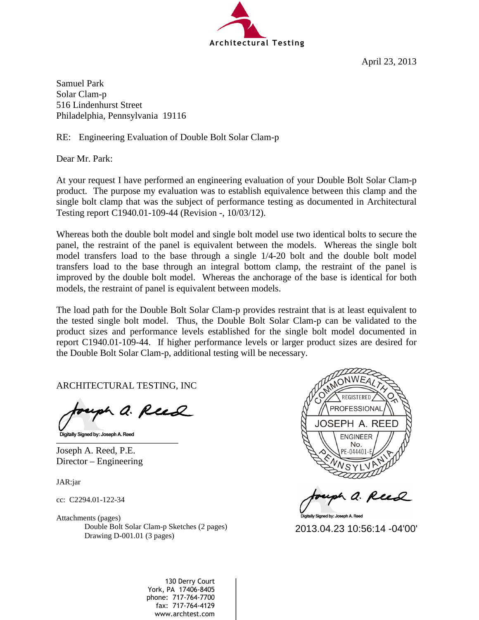

April 23, 2013

Samuel Park Solar Clam-p 516 Lindenhurst Street Philadelphia, Pennsylvania 19116

RE: Engineering Evaluation of Double Bolt Solar Clam-p

Dear Mr. Park:

At your request I have performed an engineering evaluation of your Double Bolt Solar Clam-p product. The purpose my evaluation was to establish equivalence between this clamp and the single bolt clamp that was the subject of performance testing as documented in Architectural Testing report C1940.01-109-44 (Revision -, 10/03/12).

Whereas both the double bolt model and single bolt model use two identical bolts to secure the panel, the restraint of the panel is equivalent between the models. Whereas the single bolt model transfers load to the base through a single 1/4-20 bolt and the double bolt model transfers load to the base through an integral bottom clamp, the restraint of the panel is improved by the double bolt model. Whereas the anchorage of the base is identical for both models, the restraint of panel is equivalent between models.

The load path for the Double Bolt Solar Clam-p provides restraint that is at least equivalent to the tested single bolt model. Thus, the Double Bolt Solar Clam-p can be validated to the product sizes and performance levels established for the single bolt model documented in report C1940.01-109-44. If higher performance levels or larger product sizes are desired for the Double Bolt Solar Clam-p, additional testing will be necessary.

ARCHITECTURAL TESTING, INC

uph a. Reed

 $\Box$ 

Joseph A. Reed, P.E. Director – Engineering

JAR:jar

cc: C2294.01-122-34

Attachments (pages) Double Bolt Solar Clam-p Sketches (2 pages) Drawing D-001.01 (3 pages)



h a. Reed

Digitally Signed by: Joseph A. Reed

130 Derry Court York, PA 17406-8405 phone: 717-764-7700 fax: 717-764-4129 Double Bolt Solar Clam-p Sketches (2 pages)<br>
Drawing D-001.01 (3 pages)<br>
2013.04.23 10:56:14 -04'00'<br>
2013.04.23 10:56:14 -04'00'<br>
2013.04.23 10:56:14 -04'00'<br>
2013.04.23 10:56:14 -04'00'<br>
2013.04.23 10:56:14 -04'00'<br>
2013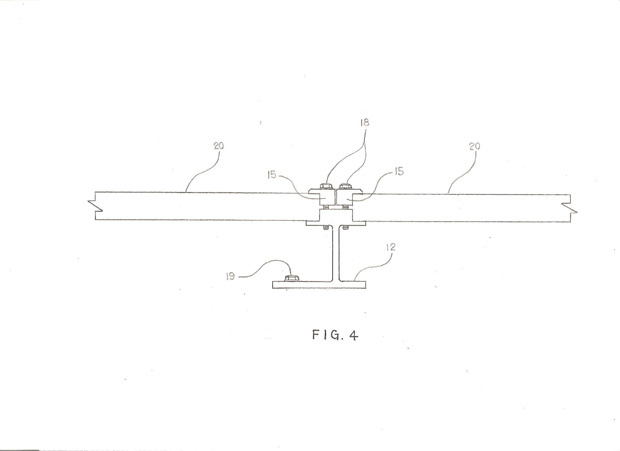

 $FIG.4$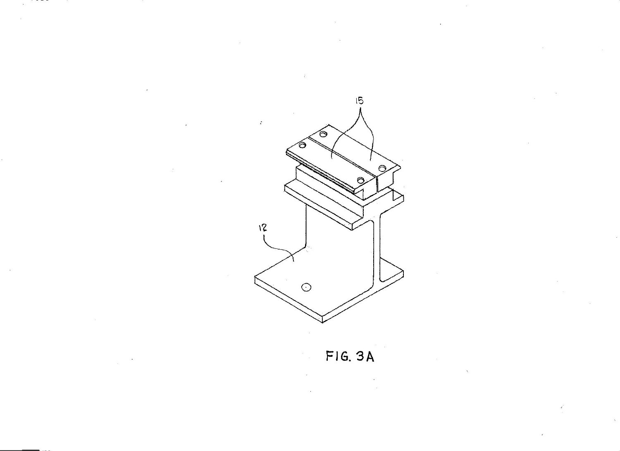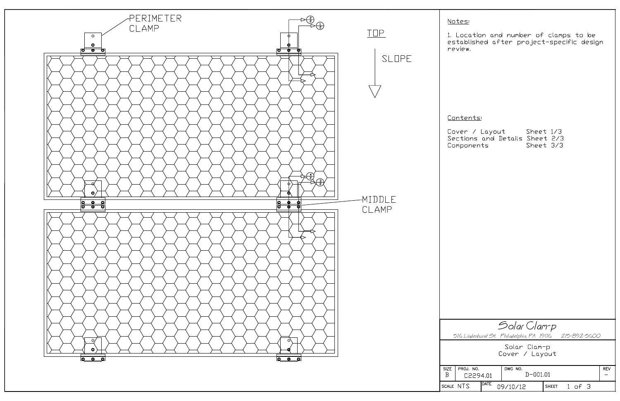

1. Location and number of clamps to be<br>established after project-specific design

## Contents

|          | ver / Layout                 | Sheet 1/3 |  |
|----------|------------------------------|-----------|--|
|          | ctions and Details Sheet 2/3 |           |  |
| mponents |                              | Sheet 3/3 |  |

|                                                  |             | Solar Clarr p                                             |            |              |  |  |
|--------------------------------------------------|-------------|-----------------------------------------------------------|------------|--------------|--|--|
|                                                  |             | 516 Lindenhurst St. Philadelphia, PA 19116 - 215–892–5600 |            |              |  |  |
| Solar Clam-p<br>Cover / Layout                   |             |                                                           |            |              |  |  |
| DWG NO.<br>PROJ. NO.<br>$D - 001.01$<br>C2294.01 |             |                                                           | <b>REV</b> |              |  |  |
| <b>NTS</b>                                       | <b>DATE</b> | 09/10/12                                                  |            | SHEET 1 of 3 |  |  |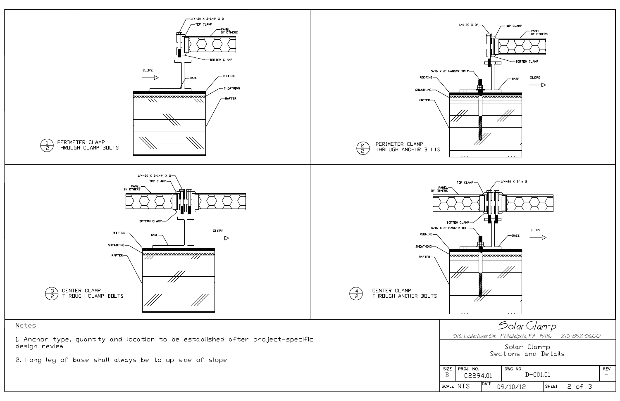